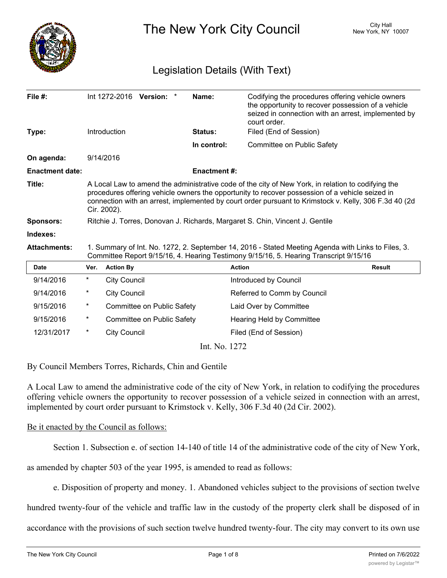

The New York City Council New York, NY 10007

# Legislation Details (With Text)

| File $#$ :             |                                                                                                                                                                                                                                                                                                                               | Int 1272-2016 Version: *   | Name:              | Codifying the procedures offering vehicle owners<br>the opportunity to recover possession of a vehicle<br>seized in connection with an arrest, implemented by<br>court order. |               |
|------------------------|-------------------------------------------------------------------------------------------------------------------------------------------------------------------------------------------------------------------------------------------------------------------------------------------------------------------------------|----------------------------|--------------------|-------------------------------------------------------------------------------------------------------------------------------------------------------------------------------|---------------|
| Type:                  |                                                                                                                                                                                                                                                                                                                               | Introduction               | <b>Status:</b>     | Filed (End of Session)                                                                                                                                                        |               |
|                        |                                                                                                                                                                                                                                                                                                                               |                            | In control:        | Committee on Public Safety                                                                                                                                                    |               |
| On agenda:             |                                                                                                                                                                                                                                                                                                                               | 9/14/2016                  |                    |                                                                                                                                                                               |               |
| <b>Enactment date:</b> |                                                                                                                                                                                                                                                                                                                               |                            | <b>Enactment#:</b> |                                                                                                                                                                               |               |
| Title:                 | A Local Law to amend the administrative code of the city of New York, in relation to codifying the<br>procedures offering vehicle owners the opportunity to recover possession of a vehicle seized in<br>connection with an arrest, implemented by court order pursuant to Krimstock v. Kelly, 306 F.3d 40 (2d<br>Cir. 2002). |                            |                    |                                                                                                                                                                               |               |
| <b>Sponsors:</b>       | Ritchie J. Torres, Donovan J. Richards, Margaret S. Chin, Vincent J. Gentile                                                                                                                                                                                                                                                  |                            |                    |                                                                                                                                                                               |               |
| Indexes:               |                                                                                                                                                                                                                                                                                                                               |                            |                    |                                                                                                                                                                               |               |
| <b>Attachments:</b>    | 1. Summary of Int. No. 1272, 2. September 14, 2016 - Stated Meeting Agenda with Links to Files, 3.<br>Committee Report 9/15/16, 4. Hearing Testimony 9/15/16, 5. Hearing Transcript 9/15/16                                                                                                                                   |                            |                    |                                                                                                                                                                               |               |
| <b>Date</b>            | Ver.                                                                                                                                                                                                                                                                                                                          | <b>Action By</b>           |                    | <b>Action</b>                                                                                                                                                                 | <b>Result</b> |
| 9/14/2016              | $\ast$                                                                                                                                                                                                                                                                                                                        | <b>City Council</b>        |                    | Introduced by Council                                                                                                                                                         |               |
| 9/14/2016              | $^\star$                                                                                                                                                                                                                                                                                                                      | <b>City Council</b>        |                    | Referred to Comm by Council                                                                                                                                                   |               |
| 9/15/2016              | $\ast$                                                                                                                                                                                                                                                                                                                        | Committee on Public Safety |                    | Laid Over by Committee                                                                                                                                                        |               |
| 9/15/2016              | $\ast$                                                                                                                                                                                                                                                                                                                        | Committee on Public Safety |                    | Hearing Held by Committee                                                                                                                                                     |               |
| 12/31/2017             | $^\star$                                                                                                                                                                                                                                                                                                                      | <b>City Council</b>        |                    | Filed (End of Session)                                                                                                                                                        |               |

Int. No. 1272

By Council Members Torres, Richards, Chin and Gentile

A Local Law to amend the administrative code of the city of New York, in relation to codifying the procedures offering vehicle owners the opportunity to recover possession of a vehicle seized in connection with an arrest, implemented by court order pursuant to Krimstock v. Kelly, 306 F.3d 40 (2d Cir. 2002).

## Be it enacted by the Council as follows:

Section 1. Subsection e. of section 14-140 of title 14 of the administrative code of the city of New York,

as amended by chapter 503 of the year 1995, is amended to read as follows:

e. Disposition of property and money. 1. Abandoned vehicles subject to the provisions of section twelve

hundred twenty-four of the vehicle and traffic law in the custody of the property clerk shall be disposed of in

accordance with the provisions of such section twelve hundred twenty-four. The city may convert to its own use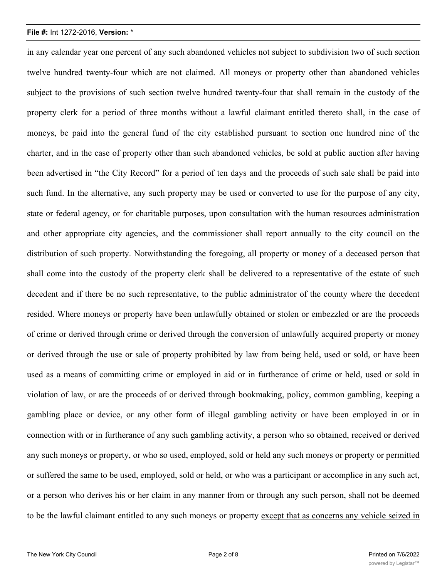in any calendar year one percent of any such abandoned vehicles not subject to subdivision two of such section twelve hundred twenty-four which are not claimed. All moneys or property other than abandoned vehicles subject to the provisions of such section twelve hundred twenty-four that shall remain in the custody of the property clerk for a period of three months without a lawful claimant entitled thereto shall, in the case of moneys, be paid into the general fund of the city established pursuant to section one hundred nine of the charter, and in the case of property other than such abandoned vehicles, be sold at public auction after having been advertised in "the City Record" for a period of ten days and the proceeds of such sale shall be paid into such fund. In the alternative, any such property may be used or converted to use for the purpose of any city, state or federal agency, or for charitable purposes, upon consultation with the human resources administration and other appropriate city agencies, and the commissioner shall report annually to the city council on the distribution of such property. Notwithstanding the foregoing, all property or money of a deceased person that shall come into the custody of the property clerk shall be delivered to a representative of the estate of such decedent and if there be no such representative, to the public administrator of the county where the decedent resided. Where moneys or property have been unlawfully obtained or stolen or embezzled or are the proceeds of crime or derived through crime or derived through the conversion of unlawfully acquired property or money or derived through the use or sale of property prohibited by law from being held, used or sold, or have been used as a means of committing crime or employed in aid or in furtherance of crime or held, used or sold in violation of law, or are the proceeds of or derived through bookmaking, policy, common gambling, keeping a gambling place or device, or any other form of illegal gambling activity or have been employed in or in connection with or in furtherance of any such gambling activity, a person who so obtained, received or derived any such moneys or property, or who so used, employed, sold or held any such moneys or property or permitted or suffered the same to be used, employed, sold or held, or who was a participant or accomplice in any such act, or a person who derives his or her claim in any manner from or through any such person, shall not be deemed to be the lawful claimant entitled to any such moneys or property except that as concerns any vehicle seized in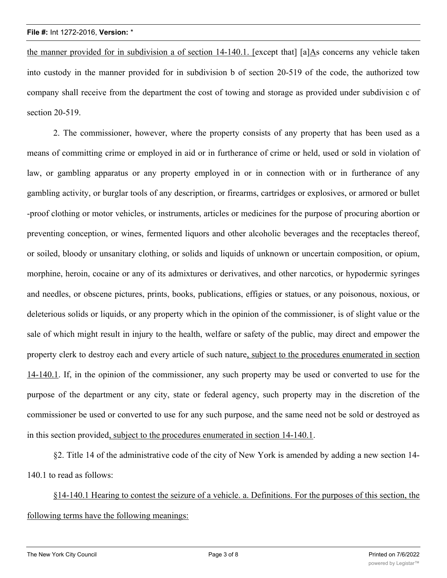the manner provided for in subdivision a of section 14-140.1. [except that] [a]As concerns any vehicle taken into custody in the manner provided for in subdivision b of section 20-519 of the code, the authorized tow company shall receive from the department the cost of towing and storage as provided under subdivision c of section 20-519.

2. The commissioner, however, where the property consists of any property that has been used as a means of committing crime or employed in aid or in furtherance of crime or held, used or sold in violation of law, or gambling apparatus or any property employed in or in connection with or in furtherance of any gambling activity, or burglar tools of any description, or firearms, cartridges or explosives, or armored or bullet -proof clothing or motor vehicles, or instruments, articles or medicines for the purpose of procuring abortion or preventing conception, or wines, fermented liquors and other alcoholic beverages and the receptacles thereof, or soiled, bloody or unsanitary clothing, or solids and liquids of unknown or uncertain composition, or opium, morphine, heroin, cocaine or any of its admixtures or derivatives, and other narcotics, or hypodermic syringes and needles, or obscene pictures, prints, books, publications, effigies or statues, or any poisonous, noxious, or deleterious solids or liquids, or any property which in the opinion of the commissioner, is of slight value or the sale of which might result in injury to the health, welfare or safety of the public, may direct and empower the property clerk to destroy each and every article of such nature, subject to the procedures enumerated in section 14-140.1. If, in the opinion of the commissioner, any such property may be used or converted to use for the purpose of the department or any city, state or federal agency, such property may in the discretion of the commissioner be used or converted to use for any such purpose, and the same need not be sold or destroyed as in this section provided, subject to the procedures enumerated in section 14-140.1.

§2. Title 14 of the administrative code of the city of New York is amended by adding a new section 14- 140.1 to read as follows:

§14-140.1 Hearing to contest the seizure of a vehicle. a. Definitions. For the purposes of this section, the following terms have the following meanings: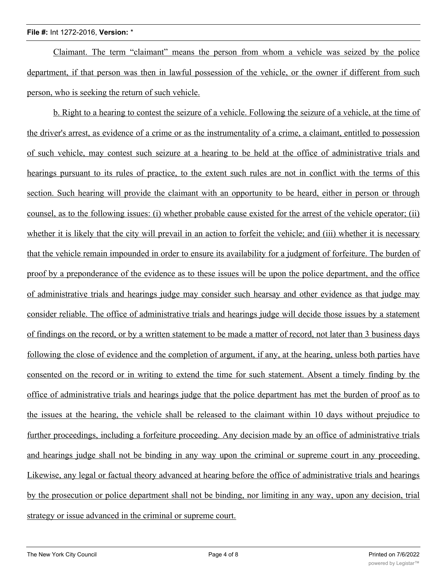Claimant. The term "claimant" means the person from whom a vehicle was seized by the police department, if that person was then in lawful possession of the vehicle, or the owner if different from such person, who is seeking the return of such vehicle.

b. Right to a hearing to contest the seizure of a vehicle. Following the seizure of a vehicle, at the time of the driver's arrest, as evidence of a crime or as the instrumentality of a crime, a claimant, entitled to possession of such vehicle, may contest such seizure at a hearing to be held at the office of administrative trials and hearings pursuant to its rules of practice, to the extent such rules are not in conflict with the terms of this section. Such hearing will provide the claimant with an opportunity to be heard, either in person or through counsel, as to the following issues: (i) whether probable cause existed for the arrest of the vehicle operator; (ii) whether it is likely that the city will prevail in an action to forfeit the vehicle; and (iii) whether it is necessary that the vehicle remain impounded in order to ensure its availability for a judgment of forfeiture. The burden of proof by a preponderance of the evidence as to these issues will be upon the police department, and the office of administrative trials and hearings judge may consider such hearsay and other evidence as that judge may consider reliable. The office of administrative trials and hearings judge will decide those issues by a statement of findings on the record, or by a written statement to be made a matter of record, not later than 3 business days following the close of evidence and the completion of argument, if any, at the hearing, unless both parties have consented on the record or in writing to extend the time for such statement. Absent a timely finding by the office of administrative trials and hearings judge that the police department has met the burden of proof as to the issues at the hearing, the vehicle shall be released to the claimant within 10 days without prejudice to further proceedings, including a forfeiture proceeding. Any decision made by an office of administrative trials and hearings judge shall not be binding in any way upon the criminal or supreme court in any proceeding. Likewise, any legal or factual theory advanced at hearing before the office of administrative trials and hearings by the prosecution or police department shall not be binding, nor limiting in any way, upon any decision, trial strategy or issue advanced in the criminal or supreme court.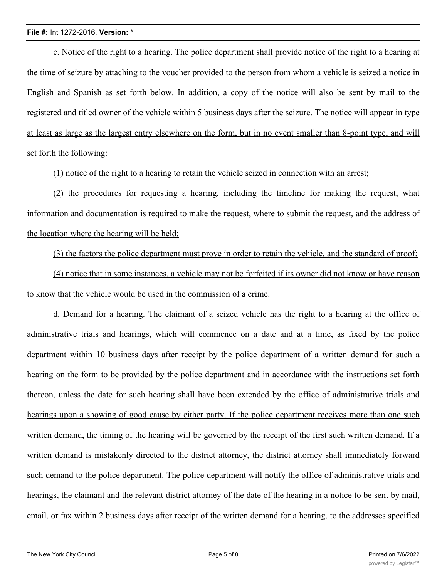c. Notice of the right to a hearing. The police department shall provide notice of the right to a hearing at the time of seizure by attaching to the voucher provided to the person from whom a vehicle is seized a notice in English and Spanish as set forth below. In addition, a copy of the notice will also be sent by mail to the registered and titled owner of the vehicle within 5 business days after the seizure. The notice will appear in type at least as large as the largest entry elsewhere on the form, but in no event smaller than 8-point type, and will set forth the following:

(1) notice of the right to a hearing to retain the vehicle seized in connection with an arrest;

(2) the procedures for requesting a hearing, including the timeline for making the request, what information and documentation is required to make the request, where to submit the request, and the address of the location where the hearing will be held;

(3) the factors the police department must prove in order to retain the vehicle, and the standard of proof;

(4) notice that in some instances, a vehicle may not be forfeited if its owner did not know or have reason to know that the vehicle would be used in the commission of a crime.

d. Demand for a hearing. The claimant of a seized vehicle has the right to a hearing at the office of administrative trials and hearings, which will commence on a date and at a time, as fixed by the police department within 10 business days after receipt by the police department of a written demand for such a hearing on the form to be provided by the police department and in accordance with the instructions set forth thereon, unless the date for such hearing shall have been extended by the office of administrative trials and hearings upon a showing of good cause by either party. If the police department receives more than one such written demand, the timing of the hearing will be governed by the receipt of the first such written demand. If a written demand is mistakenly directed to the district attorney, the district attorney shall immediately forward such demand to the police department. The police department will notify the office of administrative trials and hearings, the claimant and the relevant district attorney of the date of the hearing in a notice to be sent by mail, email, or fax within 2 business days after receipt of the written demand for a hearing, to the addresses specified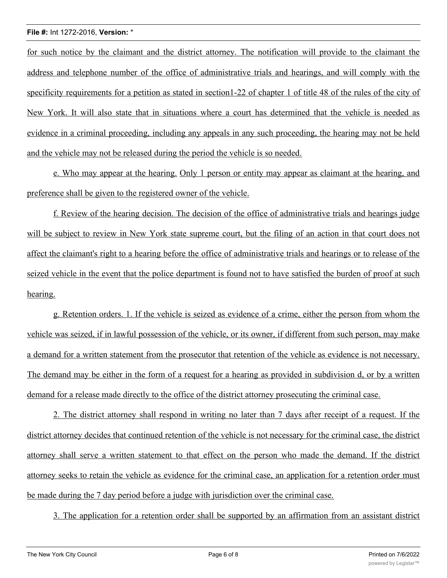for such notice by the claimant and the district attorney. The notification will provide to the claimant the address and telephone number of the office of administrative trials and hearings, and will comply with the specificity requirements for a petition as stated in section1-22 of chapter 1 of title 48 of the rules of the city of New York. It will also state that in situations where a court has determined that the vehicle is needed as evidence in a criminal proceeding, including any appeals in any such proceeding, the hearing may not be held and the vehicle may not be released during the period the vehicle is so needed.

e. Who may appear at the hearing. Only 1 person or entity may appear as claimant at the hearing, and preference shall be given to the registered owner of the vehicle.

f. Review of the hearing decision. The decision of the office of administrative trials and hearings judge will be subject to review in New York state supreme court, but the filing of an action in that court does not affect the claimant's right to a hearing before the office of administrative trials and hearings or to release of the seized vehicle in the event that the police department is found not to have satisfied the burden of proof at such hearing.

g. Retention orders. 1. If the vehicle is seized as evidence of a crime, either the person from whom the vehicle was seized, if in lawful possession of the vehicle, or its owner, if different from such person, may make a demand for a written statement from the prosecutor that retention of the vehicle as evidence is not necessary. The demand may be either in the form of a request for a hearing as provided in subdivision d, or by a written demand for a release made directly to the office of the district attorney prosecuting the criminal case.

2. The district attorney shall respond in writing no later than 7 days after receipt of a request. If the district attorney decides that continued retention of the vehicle is not necessary for the criminal case, the district attorney shall serve a written statement to that effect on the person who made the demand. If the district attorney seeks to retain the vehicle as evidence for the criminal case, an application for a retention order must be made during the 7 day period before a judge with jurisdiction over the criminal case.

3. The application for a retention order shall be supported by an affirmation from an assistant district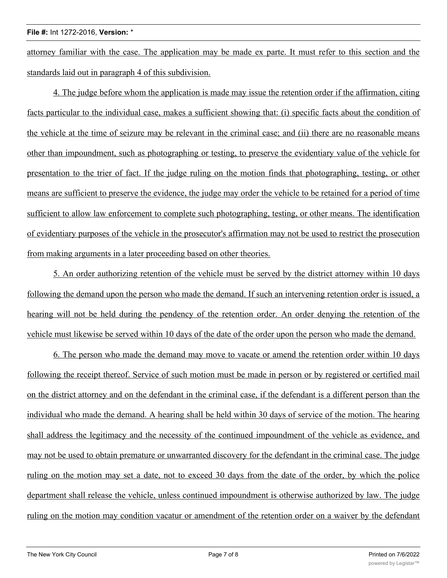attorney familiar with the case. The application may be made ex parte. It must refer to this section and the standards laid out in paragraph 4 of this subdivision.

4. The judge before whom the application is made may issue the retention order if the affirmation, citing facts particular to the individual case, makes a sufficient showing that: (i) specific facts about the condition of the vehicle at the time of seizure may be relevant in the criminal case; and (ii) there are no reasonable means other than impoundment, such as photographing or testing, to preserve the evidentiary value of the vehicle for presentation to the trier of fact. If the judge ruling on the motion finds that photographing, testing, or other means are sufficient to preserve the evidence, the judge may order the vehicle to be retained for a period of time sufficient to allow law enforcement to complete such photographing, testing, or other means. The identification of evidentiary purposes of the vehicle in the prosecutor's affirmation may not be used to restrict the prosecution from making arguments in a later proceeding based on other theories.

5. An order authorizing retention of the vehicle must be served by the district attorney within 10 days following the demand upon the person who made the demand. If such an intervening retention order is issued, a hearing will not be held during the pendency of the retention order. An order denying the retention of the vehicle must likewise be served within 10 days of the date of the order upon the person who made the demand.

6. The person who made the demand may move to vacate or amend the retention order within 10 days following the receipt thereof. Service of such motion must be made in person or by registered or certified mail on the district attorney and on the defendant in the criminal case, if the defendant is a different person than the individual who made the demand. A hearing shall be held within 30 days of service of the motion. The hearing shall address the legitimacy and the necessity of the continued impoundment of the vehicle as evidence, and may not be used to obtain premature or unwarranted discovery for the defendant in the criminal case. The judge ruling on the motion may set a date, not to exceed 30 days from the date of the order, by which the police department shall release the vehicle, unless continued impoundment is otherwise authorized by law. The judge ruling on the motion may condition vacatur or amendment of the retention order on a waiver by the defendant